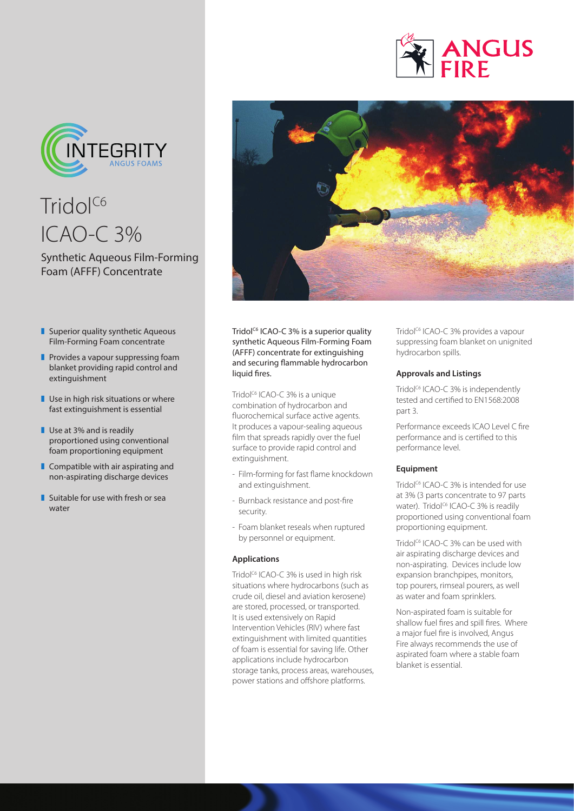



Tridol<sup>C6</sup> ICAO-C 3%

# Synthetic Aqueous Film-Forming Foam (AFFF) Concentrate

- $\blacksquare$  Superior quality synthetic Aqueous Film-Forming Foam concentrate
- $\blacksquare$  Provides a vapour suppressing foam blanket providing rapid control and extinguishment
- $\blacksquare$  Use in high risk situations or where fast extinguishment is essential
- $\blacksquare$  Use at 3% and is readily proportioned using conventional foam proportioning equipment
- $\blacksquare$  Compatible with air aspirating and non-aspirating discharge devices
- $\blacksquare$  Suitable for use with fresh or sea water



Tridol<sup>c6</sup> ICAO-C 3% is a superior quality synthetic Aqueous Film-Forming Foam (AFFF) concentrate for extinguishing and securing flammable hydrocarbon liquid fires.

Tridol<sup>c6</sup> ICAO-C 3% is a unique combination of hydrocarbon and fluorochemical surface active agents. It produces a vapour-sealing aqueous film that spreads rapidly over the fuel surface to provide rapid control and extinguishment.

- Film-forming for fast flame knockdown and extinguishment.
- Burnback resistance and post-fire security.
- Foam blanket reseals when ruptured by personnel or equipment.

#### **Applications**

Tridol<sup>c6</sup> ICAO-C 3% is used in high risk situations where hydrocarbons (such as crude oil, diesel and aviation kerosene) are stored, processed, or transported. It is used extensively on Rapid Intervention Vehicles (RIV) where fast extinguishment with limited quantities of foam is essential for saving life. Other applications include hydrocarbon storage tanks, process areas, warehouses, power stations and offshore platforms.

Tridol<sup>c6</sup> ICAO-C 3% provides a vapour suppressing foam blanket on unignited hydrocarbon spills.

### **Approvals and Listings**

Tridol<sup>c6</sup> ICAO-C 3% is independently tested and certified to EN1568:2008 part 3.

Performance exceeds ICAO Level C fire performance and is certified to this performance level.

#### **Equipment**

Tridol<sup>C6</sup> ICAO-C 3% is intended for use at 3% (3 parts concentrate to 97 parts water). Tridol<sup>c6</sup> ICAO-C 3% is readily proportioned using conventional foam proportioning equipment.

Tridol<sup>C6</sup> ICAO-C 3% can be used with air aspirating discharge devices and non-aspirating. Devices include low expansion branchpipes, monitors, top pourers, rimseal pourers, as well as water and foam sprinklers.

Non-aspirated foam is suitable for shallow fuel fires and spill fires. Where a major fuel fire is involved, Angus Fire always recommends the use of aspirated foam where a stable foam blanket is essential.